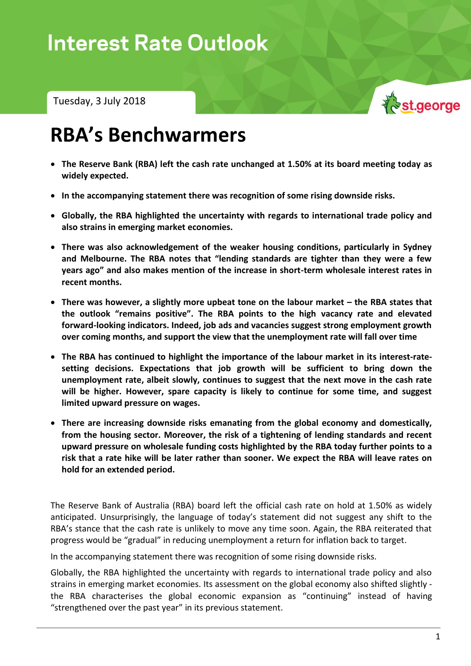Tuesday, 3 July 2018



# **RBA's Benchwarmers**

- **The Reserve Bank (RBA) left the cash rate unchanged at 1.50% at its board meeting today as widely expected.**
- **In the accompanying statement there was recognition of some rising downside risks.**
- **Globally, the RBA highlighted the uncertainty with regards to international trade policy and also strains in emerging market economies.**
- **There was also acknowledgement of the weaker housing conditions, particularly in Sydney and Melbourne. The RBA notes that "lending standards are tighter than they were a few years ago" and also makes mention of the increase in short-term wholesale interest rates in recent months.**
- **•** There was however, a slightly more upbeat tone on the labour market the RBA states that **the outlook "remains positive". The RBA points to the high vacancy rate and elevated forward-looking indicators. Indeed, job ads and vacancies suggest strong employment growth over coming months, and support the view that the unemployment rate will fall over time**
- **The RBA has continued to highlight the importance of the labour market in its interest-ratesetting decisions. Expectations that job growth will be sufficient to bring down the unemployment rate, albeit slowly, continues to suggest that the next move in the cash rate will be higher. However, spare capacity is likely to continue for some time, and suggest limited upward pressure on wages.**
- **There are increasing downside risks emanating from the global economy and domestically, from the housing sector. Moreover, the risk of a tightening of lending standards and recent upward pressure on wholesale funding costs highlighted by the RBA today further points to a risk that a rate hike will be later rather than sooner. We expect the RBA will leave rates on hold for an extended period.**

The Reserve Bank of Australia (RBA) board left the official cash rate on hold at 1.50% as widely anticipated. Unsurprisingly, the language of today's statement did not suggest any shift to the RBA's stance that the cash rate is unlikely to move any time soon. Again, the RBA reiterated that progress would be "gradual" in reducing unemployment a return for inflation back to target.

In the accompanying statement there was recognition of some rising downside risks.

Globally, the RBA highlighted the uncertainty with regards to international trade policy and also strains in emerging market economies. Its assessment on the global economy also shifted slightly the RBA characterises the global economic expansion as "continuing" instead of having "strengthened over the past year" in its previous statement.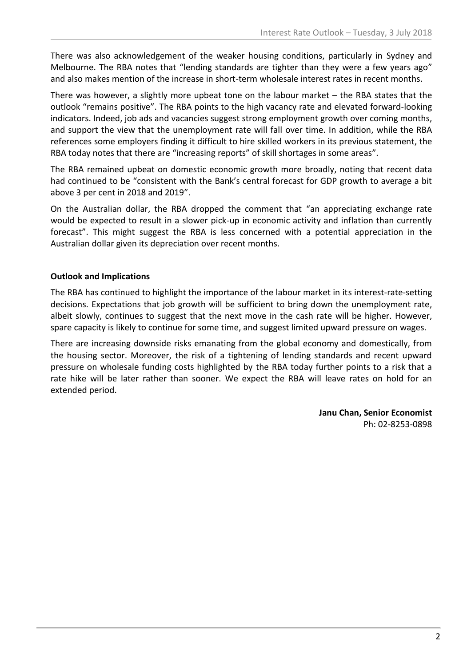There was also acknowledgement of the weaker housing conditions, particularly in Sydney and Melbourne. The RBA notes that "lending standards are tighter than they were a few years ago" and also makes mention of the increase in short-term wholesale interest rates in recent months.

There was however, a slightly more upbeat tone on the labour market – the RBA states that the outlook "remains positive". The RBA points to the high vacancy rate and elevated forward-looking indicators. Indeed, job ads and vacancies suggest strong employment growth over coming months, and support the view that the unemployment rate will fall over time. In addition, while the RBA references some employers finding it difficult to hire skilled workers in its previous statement, the RBA today notes that there are "increasing reports" of skill shortages in some areas".

The RBA remained upbeat on domestic economic growth more broadly, noting that recent data had continued to be "consistent with the Bank's central forecast for GDP growth to average a bit above 3 per cent in 2018 and 2019".

On the Australian dollar, the RBA dropped the comment that "an appreciating exchange rate would be expected to result in a slower pick-up in economic activity and inflation than currently forecast". This might suggest the RBA is less concerned with a potential appreciation in the Australian dollar given its depreciation over recent months.

### **Outlook and Implications**

The RBA has continued to highlight the importance of the labour market in its interest-rate-setting decisions. Expectations that job growth will be sufficient to bring down the unemployment rate, albeit slowly, continues to suggest that the next move in the cash rate will be higher. However, spare capacity is likely to continue for some time, and suggest limited upward pressure on wages.

There are increasing downside risks emanating from the global economy and domestically, from the housing sector. Moreover, the risk of a tightening of lending standards and recent upward pressure on wholesale funding costs highlighted by the RBA today further points to a risk that a rate hike will be later rather than sooner. We expect the RBA will leave rates on hold for an extended period.

> **Janu Chan, Senior Economist** Ph: 02-8253-0898